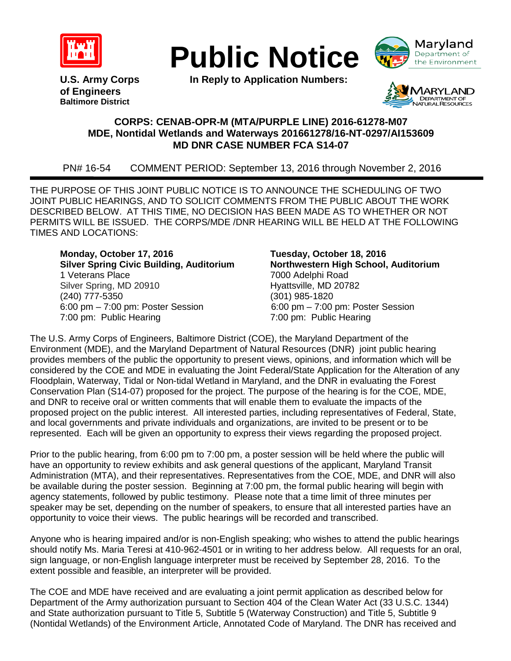



**In Reply to Application Numbers:** 



**of Engineers Baltimore District**

**ARYLAND DEPARTMENT OF<br>ATURAL RESOURCES** 

## **CORPS: CENAB-OPR-M (MTA/PURPLE LINE) 2016-61278-M07 MDE, Nontidal Wetlands and Waterways 201661278/16-NT-0297/AI153609 MD DNR CASE NUMBER FCA S14-07**

PN# 16-54 COMMENT PERIOD: September 13, 2016 through November 2, 2016

THE PURPOSE OF THIS JOINT PUBLIC NOTICE IS TO ANNOUNCE THE SCHEDULING OF TWO JOINT PUBLIC HEARINGS, AND TO SOLICIT COMMENTS FROM THE PUBLIC ABOUT THE WORK DESCRIBED BELOW. AT THIS TIME, NO DECISION HAS BEEN MADE AS TO WHETHER OR NOT PERMITS WILL BE ISSUED. THE CORPS/MDE /DNR HEARING WILL BE HELD AT THE FOLLOWING TIMES AND LOCATIONS:

**Monday, October 17, 2016 Tuesday, October 18, 2016 Silver Spring Civic Building, Auditorium Northwestern High School, Auditorium** 1 Veterans Place<br>
2000 Adelphi Road<br>
3ilver Spring, MD 20910 Silver Spring, MD 20910<br>
(240) 777-5350 (301) 985-1820 (240) 777-5350 6:00 pm – 7:00 pm: Poster Session 6:00 pm – 7:00 pm: Poster Session 7:00 pm: Public Hearing 7:00 pm: Public Hearing

The U.S. Army Corps of Engineers, Baltimore District (COE), the Maryland Department of the Environment (MDE), and the Maryland Department of Natural Resources (DNR) joint public hearing provides members of the public the opportunity to present views, opinions, and information which will be considered by the COE and MDE in evaluating the Joint Federal/State Application for the Alteration of any Floodplain, Waterway, Tidal or Non-tidal Wetland in Maryland, and the DNR in evaluating the Forest Conservation Plan (S14-07) proposed for the project. The purpose of the hearing is for the COE, MDE, and DNR to receive oral or written comments that will enable them to evaluate the impacts of the proposed project on the public interest. All interested parties, including representatives of Federal, State, and local governments and private individuals and organizations, are invited to be present or to be represented. Each will be given an opportunity to express their views regarding the proposed project.

Prior to the public hearing, from 6:00 pm to 7:00 pm, a poster session will be held where the public will have an opportunity to review exhibits and ask general questions of the applicant, Maryland Transit Administration (MTA), and their representatives. Representatives from the COE, MDE, and DNR will also be available during the poster session. Beginning at 7:00 pm, the formal public hearing will begin with agency statements, followed by public testimony. Please note that a time limit of three minutes per speaker may be set, depending on the number of speakers, to ensure that all interested parties have an opportunity to voice their views. The public hearings will be recorded and transcribed.

Anyone who is hearing impaired and/or is non-English speaking; who wishes to attend the public hearings should notify Ms. Maria Teresi at 410-962-4501 or in writing to her address below. All requests for an oral, sign language, or non-English language interpreter must be received by September 28, 2016. To the extent possible and feasible, an interpreter will be provided.

The COE and MDE have received and are evaluating a joint permit application as described below for Department of the Army authorization pursuant to Section 404 of the Clean Water Act (33 U.S.C. 1344) and State authorization pursuant to Title 5, Subtitle 5 (Waterway Construction) and Title 5, Subtitle 9 (Nontidal Wetlands) of the Environment Article, Annotated Code of Maryland. The DNR has received and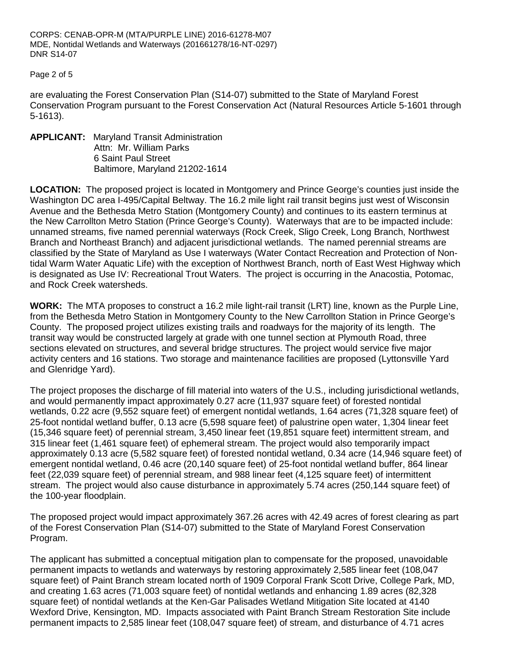Page 2 of 5

are evaluating the Forest Conservation Plan (S14-07) submitted to the State of Maryland Forest Conservation Program pursuant to the Forest Conservation Act (Natural Resources Article 5-1601 through 5-1613).

**APPLICANT:** Maryland Transit Administration Attn: Mr. William Parks 6 Saint Paul Street Baltimore, Maryland 21202-1614

**LOCATION:** The proposed project is located in Montgomery and Prince George's counties just inside the Washington DC area I-495/Capital Beltway. The 16.2 mile light rail transit begins just west of Wisconsin Avenue and the Bethesda Metro Station (Montgomery County) and continues to its eastern terminus at the New Carrollton Metro Station (Prince George's County). Waterways that are to be impacted include: unnamed streams, five named perennial waterways (Rock Creek, Sligo Creek, Long Branch, Northwest Branch and Northeast Branch) and adjacent jurisdictional wetlands. The named perennial streams are classified by the State of Maryland as Use I waterways (Water Contact Recreation and Protection of Nontidal Warm Water Aquatic Life) with the exception of Northwest Branch, north of East West Highway which is designated as Use IV: Recreational Trout Waters. The project is occurring in the Anacostia, Potomac, and Rock Creek watersheds.

**WORK:** The MTA proposes to construct a 16.2 mile light-rail transit (LRT) line, known as the Purple Line, from the Bethesda Metro Station in Montgomery County to the New Carrollton Station in Prince George's County. The proposed project utilizes existing trails and roadways for the majority of its length. The transit way would be constructed largely at grade with one tunnel section at Plymouth Road, three sections elevated on structures, and several bridge structures. The project would service five major activity centers and 16 stations. Two storage and maintenance facilities are proposed (Lyttonsville Yard and Glenridge Yard).

The project proposes the discharge of fill material into waters of the U.S., including jurisdictional wetlands, and would permanently impact approximately 0.27 acre (11,937 square feet) of forested nontidal wetlands, 0.22 acre (9,552 square feet) of emergent nontidal wetlands, 1.64 acres (71,328 square feet) of 25-foot nontidal wetland buffer, 0.13 acre (5,598 square feet) of palustrine open water, 1,304 linear feet (15,346 square feet) of perennial stream, 3,450 linear feet (19,851 square feet) intermittent stream, and 315 linear feet (1,461 square feet) of ephemeral stream. The project would also temporarily impact approximately 0.13 acre (5,582 square feet) of forested nontidal wetland, 0.34 acre (14,946 square feet) of emergent nontidal wetland, 0.46 acre (20,140 square feet) of 25-foot nontidal wetland buffer, 864 linear feet (22,039 square feet) of perennial stream, and 988 linear feet (4,125 square feet) of intermittent stream. The project would also cause disturbance in approximately 5.74 acres (250,144 square feet) of the 100-year floodplain.

The proposed project would impact approximately 367.26 acres with 42.49 acres of forest clearing as part of the Forest Conservation Plan (S14-07) submitted to the State of Maryland Forest Conservation Program.

The applicant has submitted a conceptual mitigation plan to compensate for the proposed, unavoidable permanent impacts to wetlands and waterways by restoring approximately 2,585 linear feet (108,047 square feet) of Paint Branch stream located north of 1909 Corporal Frank Scott Drive, College Park, MD, and creating 1.63 acres (71,003 square feet) of nontidal wetlands and enhancing 1.89 acres (82,328 square feet) of nontidal wetlands at the Ken-Gar Palisades Wetland Mitigation Site located at 4140 Wexford Drive, Kensington, MD. Impacts associated with Paint Branch Stream Restoration Site include permanent impacts to 2,585 linear feet (108,047 square feet) of stream, and disturbance of 4.71 acres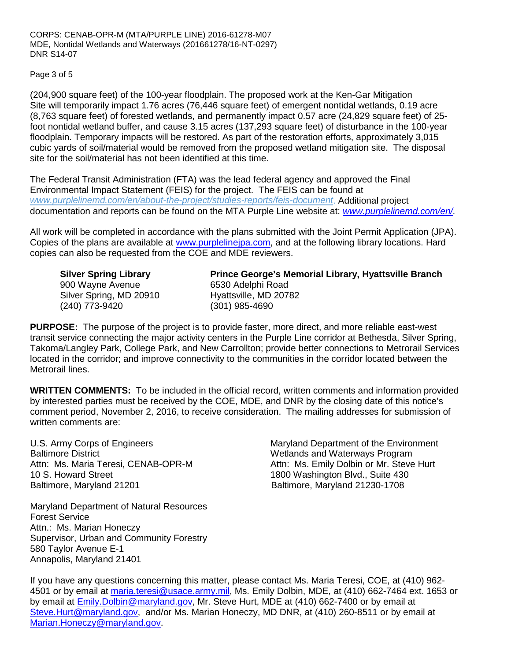Page 3 of 5

(204,900 square feet) of the 100-year floodplain. The proposed work at the Ken-Gar Mitigation Site will temporarily impact 1.76 acres (76,446 square feet) of emergent nontidal wetlands, 0.19 acre (8,763 square feet) of forested wetlands, and permanently impact 0.57 acre (24,829 square feet) of 25 foot nontidal wetland buffer, and cause 3.15 acres (137,293 square feet) of disturbance in the 100-year floodplain. Temporary impacts will be restored. As part of the restoration efforts, approximately 3,015 cubic yards of soil/material would be removed from the proposed wetland mitigation site. The disposal site for the soil/material has not been identified at this time.

The Federal Transit Administration (FTA) was the lead federal agency and approved the Final Environmental Impact Statement (FEIS) for the project. The FEIS can be found at *[www.purplelinemd.com/en/about-the-project/studies-reports/feis-document](http://www.purplelinemd.com/en/about-the-project/studies-reports/feis-document)*. Additional project documentation and reports can be found on the MTA Purple Line website at: *[www.purplelinemd.com/en/.](http://www.purplelinemd.com/en/)* 

All work will be completed in accordance with the plans submitted with the Joint Permit Application (JPA). Copies of the plans are available at www.purplelineipa.com, and at the following library locations. Hard copies can also be requested from the COE and MDE reviewers.

900 Wayne Avenue Silver Spring, MD 20910 Hyattsville, MD 20782 (240) 773-9420 (301) 985-4690

**Silver Spring Library Prince George's Memorial Library, Hyattsville Branch**

**PURPOSE:** The purpose of the project is to provide faster, more direct, and more reliable east-west transit service connecting the major activity centers in the Purple Line corridor at Bethesda, Silver Spring, Takoma/Langley Park, College Park, and New Carrollton; provide better connections to Metrorail Services located in the corridor; and improve connectivity to the communities in the corridor located between the Metrorail lines.

**WRITTEN COMMENTS:** To be included in the official record, written comments and information provided by interested parties must be received by the COE, MDE, and DNR by the closing date of this notice's comment period, November 2, 2016, to receive consideration. The mailing addresses for submission of written comments are:

Baltimore District **National Exercise 2 and September 2 and September 2 and September 2 and Waterways Program** 10 S. Howard Street 1800 Washington Blvd., Suite 430 Baltimore, Maryland 21201 Baltimore, Maryland 21230-1708

U.S. Army Corps of Engineers Maryland Department of the Environment Attn: Ms. Maria Teresi, CENAB-OPR-M Attn: Ms. Emily Dolbin or Mr. Steve Hurt

Maryland Department of Natural Resources Forest Service Attn.: Ms. Marian Honeczy Supervisor, Urban and Community Forestry 580 Taylor Avenue E-1 Annapolis, Maryland 21401

If you have any questions concerning this matter, please contact Ms. Maria Teresi, COE, at (410) 962 4501 or by email at [maria.teresi@usace.army.mil,](mailto:maria.teresi@usace.army.mil) Ms. Emily Dolbin, MDE, at (410) 662-7464 ext. 1653 or by email at Emily. Dolbin@maryland.gov, Mr. Steve Hurt, MDE at (410) 662-7400 or by email at [Steve.Hurt@maryland.gov,](mailto:Steve.Hurt@maryland.gov) and/or Ms. Marian Honeczy, MD DNR, at (410) 260-8511 or by email at [Marian.Honeczy@maryland.gov.](mailto:Marian.Honeczy@maryland.gov)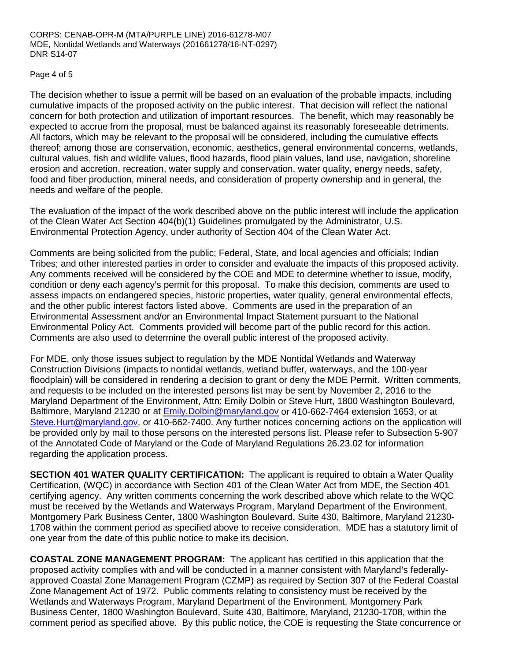## Page 4 of 5

The decision whether to issue a permit will be based on an evaluation of the probable impacts, including cumulative impacts of the proposed activity on the public interest. That decision will reflect the national concern for both protection and utilization of important resources. The benefit, which may reasonably be expected to accrue from the proposal, must be balanced against its reasonably foreseeable detriments. All factors, which may be relevant to the proposal will be considered, including the cumulative effects thereof; among those are conservation, economic, aesthetics, general environmental concerns, wetlands, cultural values, fish and wildlife values, flood hazards, flood plain values, land use, navigation, shoreline erosion and accretion, recreation, water supply and conservation, water quality, energy needs, safety, food and fiber production, mineral needs, and consideration of property ownership and in general, the needs and welfare of the people.

The evaluation of the impact of the work described above on the public interest will include the application of the Clean Water Act Section 404(b)(1) Guidelines promulgated by the Administrator, U.S. Environmental Protection Agency, under authority of Section 404 of the Clean Water Act.

Comments are being solicited from the public; Federal, State, and local agencies and officials; Indian Tribes; and other interested parties in order to consider and evaluate the impacts of this proposed activity. Any comments received will be considered by the COE and MDE to determine whether to issue, modify, condition or deny each agency's permit for this proposal. To make this decision, comments are used to assess impacts on endangered species, historic properties, water quality, general environmental effects, and the other public interest factors listed above. Comments are used in the preparation of an Environmental Assessment and/or an Environmental Impact Statement pursuant to the National Environmental Policy Act. Comments provided will become part of the public record for this action. Comments are also used to determine the overall public interest of the proposed activity.

For MDE, only those issues subject to regulation by the MDE Nontidal Wetlands and Waterway Construction Divisions (impacts to nontidal wetlands, wetland buffer, waterways, and the 100-year floodplain) will be considered in rendering a decision to grant or deny the MDE Permit. Written comments, and requests to be included on the interested persons list may be sent by November 2, 2016 to the Maryland Department of the Environment, Attn: Emily Dolbin or Steve Hurt, 1800 Washington Boulevard, Baltimore, Maryland 21230 or at [Emily.Dolbin@maryland.gov](mailto:Emily.Dolbin@maryland.gov) or 410-662-7464 extension 1653, or at [Steve.Hurt@maryland.gov,](mailto:Steve.Hurt@maryland.gov) or 410-662-7400. Any further notices concerning actions on the application will be provided only by mail to those persons on the interested persons list. Please refer to Subsection 5-907 of the Annotated Code of Maryland or the Code of Maryland Regulations 26.23.02 for information regarding the application process.

**SECTION 401 WATER QUALITY CERTIFICATION:** The applicant is required to obtain a Water Quality Certification, (WQC) in accordance with Section 401 of the Clean Water Act from MDE, the Section 401 certifying agency. Any written comments concerning the work described above which relate to the WQC must be received by the Wetlands and Waterways Program, Maryland Department of the Environment, Montgomery Park Business Center, 1800 Washington Boulevard, Suite 430, Baltimore, Maryland 21230- 1708 within the comment period as specified above to receive consideration. MDE has a statutory limit of one year from the date of this public notice to make its decision.

**COASTAL ZONE MANAGEMENT PROGRAM:** The applicant has certified in this application that the proposed activity complies with and will be conducted in a manner consistent with Maryland's federallyapproved Coastal Zone Management Program (CZMP) as required by Section 307 of the Federal Coastal Zone Management Act of 1972. Public comments relating to consistency must be received by the Wetlands and Waterways Program, Maryland Department of the Environment, Montgomery Park Business Center, 1800 Washington Boulevard, Suite 430, Baltimore, Maryland, 21230-1708, within the comment period as specified above. By this public notice, the COE is requesting the State concurrence or